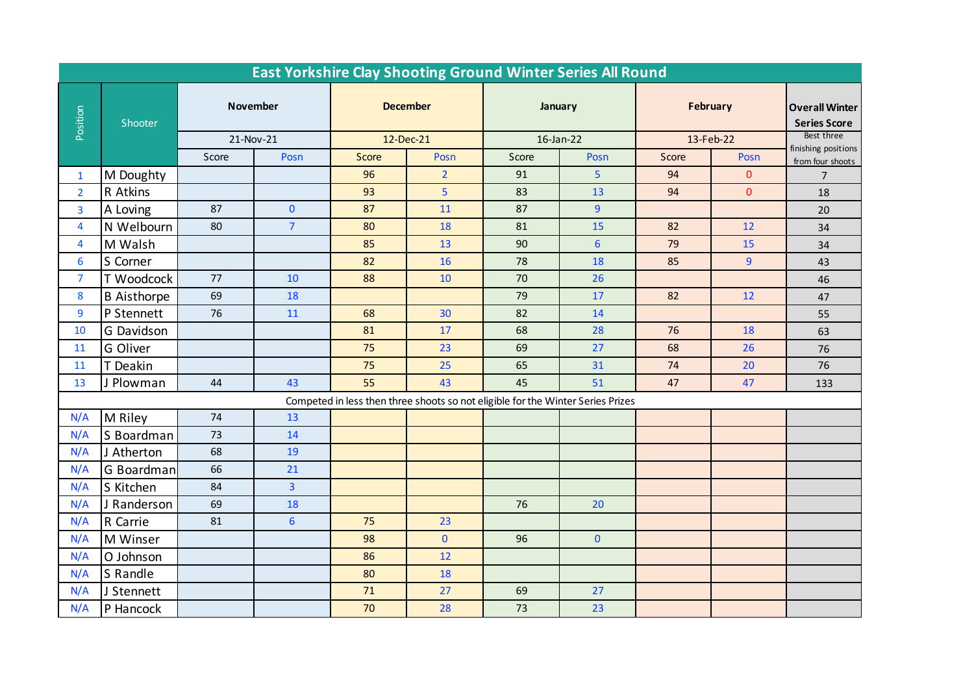| <b>East Yorkshire Clay Shooting Ground Winter Series All Round</b> |                    |                 |                  |                 |                |           |                                                                                 |           |                |                                              |
|--------------------------------------------------------------------|--------------------|-----------------|------------------|-----------------|----------------|-----------|---------------------------------------------------------------------------------|-----------|----------------|----------------------------------------------|
| Position                                                           | Shooter            | <b>November</b> |                  | <b>December</b> |                | January   |                                                                                 | February  |                | <b>Overall Winter</b><br><b>Series Score</b> |
|                                                                    |                    | 21-Nov-21       |                  | 12-Dec-21       |                | 16-Jan-22 |                                                                                 | 13-Feb-22 |                | Best three<br>finishing positions            |
|                                                                    |                    | Score           | Posn             | Score           | Posn           | Score     | Posn                                                                            | Score     | Posn           | from four shoots                             |
| $\mathbf{1}$                                                       | M Doughty          |                 |                  | 96              | $\overline{2}$ | 91        | 5                                                                               | 94        | $\mathbf{0}$   | $\overline{7}$                               |
| $\overline{2}$                                                     | R Atkins           |                 |                  | 93              | 5              | 83        | 13                                                                              | 94        | $\pmb{0}$      | 18                                           |
| 3                                                                  | A Loving           | 87              | $\overline{0}$   | 87              | 11             | 87        | 9 <sup>°</sup>                                                                  |           |                | 20                                           |
| $\overline{\mathbf{4}}$                                            | N Welbourn         | 80              | $\overline{7}$   | 80              | 18             | 81        | 15                                                                              | 82        | 12             | 34                                           |
| 4                                                                  | M Walsh            |                 |                  | 85              | 13             | 90        | $6\phantom{a}$                                                                  | 79        | 15             | 34                                           |
| $6\phantom{a}$                                                     | S Corner           |                 |                  | 82              | 16             | 78        | 18                                                                              | 85        | $\overline{9}$ | 43                                           |
| $\overline{7}$                                                     | T Woodcock         | 77              | 10               | 88              | 10             | 70        | 26                                                                              |           |                | 46                                           |
| 8                                                                  | <b>B</b> Aisthorpe | 69              | 18               |                 |                | 79        | 17                                                                              | 82        | 12             | 47                                           |
| 9                                                                  | P Stennett         | 76              | 11               | 68              | 30             | 82        | 14                                                                              |           |                | 55                                           |
| 10                                                                 | G Davidson         |                 |                  | 81              | 17             | 68        | 28                                                                              | 76        | 18             | 63                                           |
| 11                                                                 | G Oliver           |                 |                  | 75              | 23             | 69        | 27                                                                              | 68        | 26             | 76                                           |
| 11                                                                 | T Deakin           |                 |                  | 75              | 25             | 65        | 31                                                                              | 74        | 20             | 76                                           |
| 13                                                                 | J Plowman          | 44              | 43               | 55              | 43             | 45        | 51                                                                              | 47        | 47             | 133                                          |
|                                                                    |                    |                 |                  |                 |                |           | Competed in less then three shoots so not eligible for the Winter Series Prizes |           |                |                                              |
| N/A                                                                | M Riley            | 74              | 13               |                 |                |           |                                                                                 |           |                |                                              |
| N/A                                                                | S Boardman         | 73              | 14               |                 |                |           |                                                                                 |           |                |                                              |
| N/A                                                                | J Atherton         | 68              | 19               |                 |                |           |                                                                                 |           |                |                                              |
| N/A                                                                | G Boardman         | 66              | 21               |                 |                |           |                                                                                 |           |                |                                              |
| N/A                                                                | S Kitchen          | 84              | 3 <sup>1</sup>   |                 |                |           |                                                                                 |           |                |                                              |
| N/A                                                                | J Randerson        | 69              | 18               |                 |                | 76        | 20                                                                              |           |                |                                              |
| N/A                                                                | R Carrie           | 81              | $6 \overline{6}$ | 75              | 23             |           |                                                                                 |           |                |                                              |
| N/A                                                                | M Winser           |                 |                  | 98              | $\mathbf{0}$   | 96        | $\pmb{0}$                                                                       |           |                |                                              |
| N/A                                                                | O Johnson          |                 |                  | 86              | 12             |           |                                                                                 |           |                |                                              |
| N/A                                                                | S Randle           |                 |                  | 80              | 18             |           |                                                                                 |           |                |                                              |
| N/A                                                                | J Stennett         |                 |                  | 71              | 27             | 69        | 27                                                                              |           |                |                                              |
| N/A                                                                | P Hancock          |                 |                  | 70              | 28             | 73        | 23                                                                              |           |                |                                              |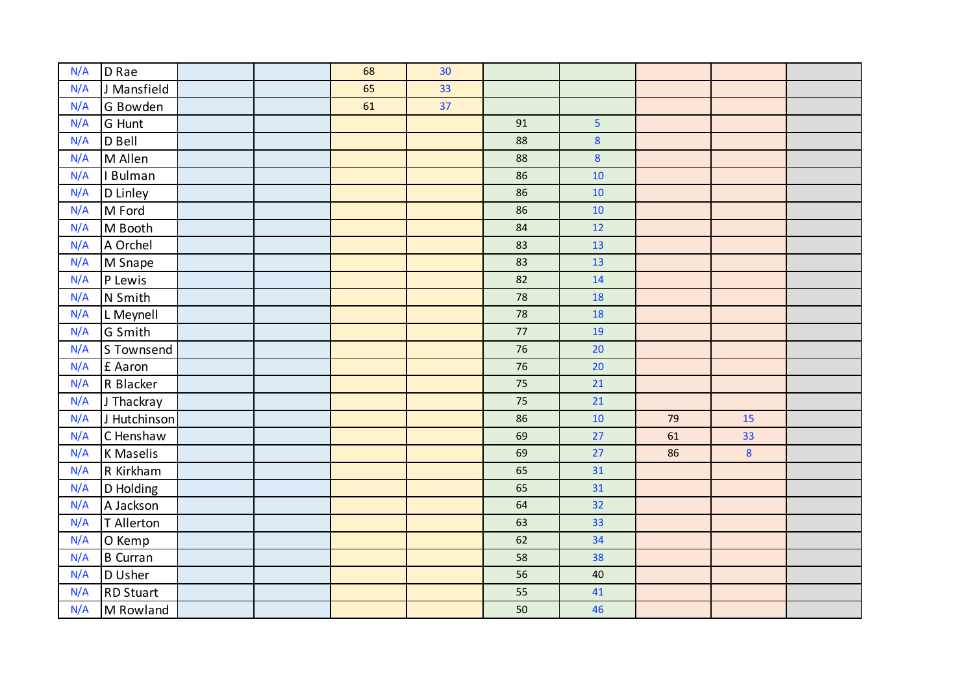| N/A | D Rae            |  | 68 | 30 |    |                         |    |                  |  |
|-----|------------------|--|----|----|----|-------------------------|----|------------------|--|
| N/A | J Mansfield      |  | 65 | 33 |    |                         |    |                  |  |
| N/A | G Bowden         |  | 61 | 37 |    |                         |    |                  |  |
| N/A | G Hunt           |  |    |    | 91 | $\overline{\mathbf{5}}$ |    |                  |  |
| N/A | D Bell           |  |    |    | 88 | $\overline{8}$          |    |                  |  |
| N/A | M Allen          |  |    |    | 88 | 8                       |    |                  |  |
| N/A | I Bulman         |  |    |    | 86 | 10                      |    |                  |  |
| N/A | D Linley         |  |    |    | 86 | 10                      |    |                  |  |
| N/A | M Ford           |  |    |    | 86 | 10                      |    |                  |  |
| N/A | M Booth          |  |    |    | 84 | 12                      |    |                  |  |
| N/A | A Orchel         |  |    |    | 83 | 13                      |    |                  |  |
| N/A | M Snape          |  |    |    | 83 | 13                      |    |                  |  |
| N/A | P Lewis          |  |    |    | 82 | 14                      |    |                  |  |
| N/A | N Smith          |  |    |    | 78 | 18                      |    |                  |  |
| N/A | L Meynell        |  |    |    | 78 | 18                      |    |                  |  |
| N/A | G Smith          |  |    |    | 77 | 19                      |    |                  |  |
| N/A | S Townsend       |  |    |    | 76 | 20                      |    |                  |  |
| N/A | £ Aaron          |  |    |    | 76 | 20                      |    |                  |  |
| N/A | R Blacker        |  |    |    | 75 | 21                      |    |                  |  |
| N/A | J Thackray       |  |    |    | 75 | 21                      |    |                  |  |
| N/A | J Hutchinson     |  |    |    | 86 | 10                      | 79 | 15               |  |
| N/A | C Henshaw        |  |    |    | 69 | 27                      | 61 | 33               |  |
| N/A | K Maselis        |  |    |    | 69 | 27                      | 86 | $\boldsymbol{8}$ |  |
| N/A | R Kirkham        |  |    |    | 65 | 31                      |    |                  |  |
| N/A | D Holding        |  |    |    | 65 | 31                      |    |                  |  |
| N/A | A Jackson        |  |    |    | 64 | 32                      |    |                  |  |
| N/A | T Allerton       |  |    |    | 63 | 33                      |    |                  |  |
| N/A | O Kemp           |  |    |    | 62 | 34                      |    |                  |  |
| N/A | <b>B</b> Curran  |  |    |    | 58 | 38                      |    |                  |  |
| N/A | D Usher          |  |    |    | 56 | 40                      |    |                  |  |
| N/A | <b>RD Stuart</b> |  |    |    | 55 | 41                      |    |                  |  |
| N/A | M Rowland        |  |    |    | 50 | 46                      |    |                  |  |